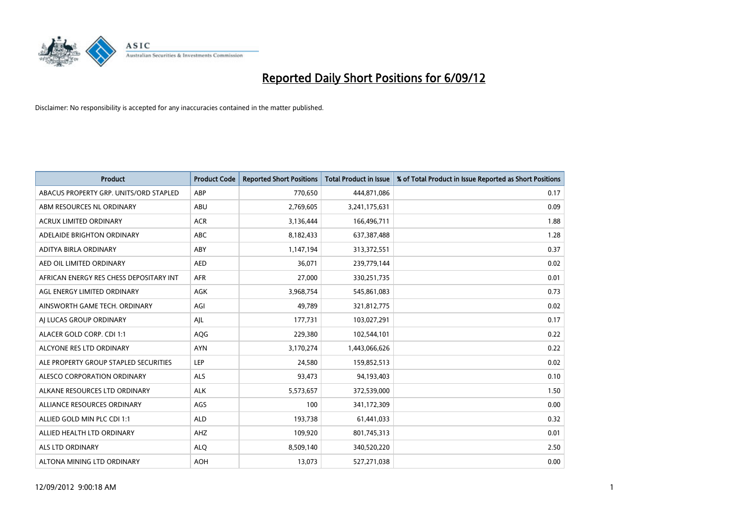

| <b>Product</b>                          | <b>Product Code</b> | <b>Reported Short Positions</b> | <b>Total Product in Issue</b> | % of Total Product in Issue Reported as Short Positions |
|-----------------------------------------|---------------------|---------------------------------|-------------------------------|---------------------------------------------------------|
| ABACUS PROPERTY GRP. UNITS/ORD STAPLED  | ABP                 | 770,650                         | 444,871,086                   | 0.17                                                    |
| ABM RESOURCES NL ORDINARY               | ABU                 | 2,769,605                       | 3,241,175,631                 | 0.09                                                    |
| <b>ACRUX LIMITED ORDINARY</b>           | <b>ACR</b>          | 3,136,444                       | 166,496,711                   | 1.88                                                    |
| ADELAIDE BRIGHTON ORDINARY              | ABC                 | 8,182,433                       | 637, 387, 488                 | 1.28                                                    |
| ADITYA BIRLA ORDINARY                   | ABY                 | 1,147,194                       | 313,372,551                   | 0.37                                                    |
| AED OIL LIMITED ORDINARY                | <b>AED</b>          | 36,071                          | 239,779,144                   | 0.02                                                    |
| AFRICAN ENERGY RES CHESS DEPOSITARY INT | <b>AFR</b>          | 27,000                          | 330,251,735                   | 0.01                                                    |
| AGL ENERGY LIMITED ORDINARY             | <b>AGK</b>          | 3,968,754                       | 545,861,083                   | 0.73                                                    |
| AINSWORTH GAME TECH. ORDINARY           | AGI                 | 49,789                          | 321,812,775                   | 0.02                                                    |
| AI LUCAS GROUP ORDINARY                 | AJL                 | 177,731                         | 103,027,291                   | 0.17                                                    |
| ALACER GOLD CORP. CDI 1:1               | AQG                 | 229,380                         | 102,544,101                   | 0.22                                                    |
| ALCYONE RES LTD ORDINARY                | <b>AYN</b>          | 3,170,274                       | 1,443,066,626                 | 0.22                                                    |
| ALE PROPERTY GROUP STAPLED SECURITIES   | LEP                 | 24,580                          | 159,852,513                   | 0.02                                                    |
| ALESCO CORPORATION ORDINARY             | <b>ALS</b>          | 93,473                          | 94,193,403                    | 0.10                                                    |
| ALKANE RESOURCES LTD ORDINARY           | <b>ALK</b>          | 5,573,657                       | 372,539,000                   | 1.50                                                    |
| ALLIANCE RESOURCES ORDINARY             | AGS                 | 100                             | 341,172,309                   | 0.00                                                    |
| ALLIED GOLD MIN PLC CDI 1:1             | <b>ALD</b>          | 193,738                         | 61,441,033                    | 0.32                                                    |
| ALLIED HEALTH LTD ORDINARY              | AHZ                 | 109,920                         | 801,745,313                   | 0.01                                                    |
| <b>ALS LTD ORDINARY</b>                 | <b>ALO</b>          | 8,509,140                       | 340,520,220                   | 2.50                                                    |
| ALTONA MINING LTD ORDINARY              | <b>AOH</b>          | 13,073                          | 527,271,038                   | 0.00                                                    |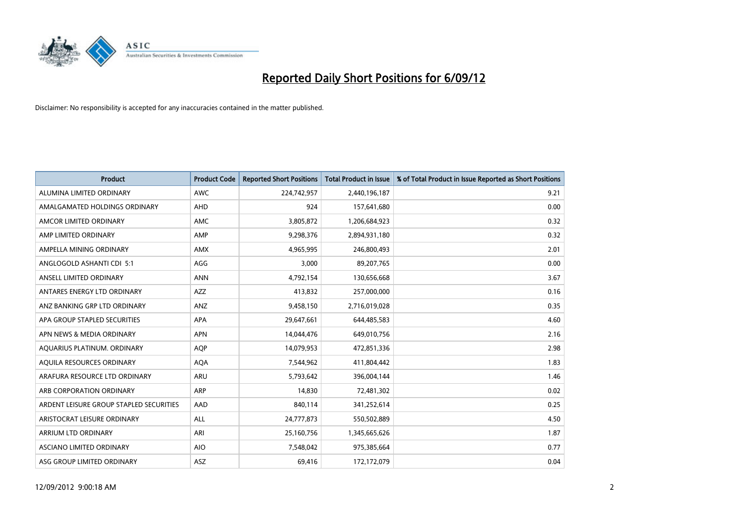

| <b>Product</b>                          | <b>Product Code</b> | <b>Reported Short Positions</b> | <b>Total Product in Issue</b> | % of Total Product in Issue Reported as Short Positions |
|-----------------------------------------|---------------------|---------------------------------|-------------------------------|---------------------------------------------------------|
| ALUMINA LIMITED ORDINARY                | <b>AWC</b>          | 224,742,957                     | 2,440,196,187                 | 9.21                                                    |
| AMALGAMATED HOLDINGS ORDINARY           | <b>AHD</b>          | 924                             | 157,641,680                   | 0.00                                                    |
| AMCOR LIMITED ORDINARY                  | <b>AMC</b>          | 3,805,872                       | 1,206,684,923                 | 0.32                                                    |
| AMP LIMITED ORDINARY                    | AMP                 | 9,298,376                       | 2,894,931,180                 | 0.32                                                    |
| AMPELLA MINING ORDINARY                 | <b>AMX</b>          | 4,965,995                       | 246,800,493                   | 2.01                                                    |
| ANGLOGOLD ASHANTI CDI 5:1               | AGG                 | 3,000                           | 89,207,765                    | 0.00                                                    |
| ANSELL LIMITED ORDINARY                 | <b>ANN</b>          | 4,792,154                       | 130,656,668                   | 3.67                                                    |
| ANTARES ENERGY LTD ORDINARY             | <b>AZZ</b>          | 413,832                         | 257,000,000                   | 0.16                                                    |
| ANZ BANKING GRP LTD ORDINARY            | ANZ                 | 9,458,150                       | 2,716,019,028                 | 0.35                                                    |
| APA GROUP STAPLED SECURITIES            | <b>APA</b>          | 29,647,661                      | 644,485,583                   | 4.60                                                    |
| APN NEWS & MEDIA ORDINARY               | <b>APN</b>          | 14,044,476                      | 649,010,756                   | 2.16                                                    |
| AQUARIUS PLATINUM. ORDINARY             | <b>AQP</b>          | 14,079,953                      | 472,851,336                   | 2.98                                                    |
| AQUILA RESOURCES ORDINARY               | <b>AQA</b>          | 7,544,962                       | 411,804,442                   | 1.83                                                    |
| ARAFURA RESOURCE LTD ORDINARY           | ARU                 | 5,793,642                       | 396,004,144                   | 1.46                                                    |
| ARB CORPORATION ORDINARY                | ARP                 | 14,830                          | 72,481,302                    | 0.02                                                    |
| ARDENT LEISURE GROUP STAPLED SECURITIES | AAD                 | 840,114                         | 341,252,614                   | 0.25                                                    |
| ARISTOCRAT LEISURE ORDINARY             | <b>ALL</b>          | 24,777,873                      | 550,502,889                   | 4.50                                                    |
| ARRIUM LTD ORDINARY                     | ARI                 | 25,160,756                      | 1,345,665,626                 | 1.87                                                    |
| <b>ASCIANO LIMITED ORDINARY</b>         | <b>AIO</b>          | 7,548,042                       | 975,385,664                   | 0.77                                                    |
| ASG GROUP LIMITED ORDINARY              | <b>ASZ</b>          | 69,416                          | 172,172,079                   | 0.04                                                    |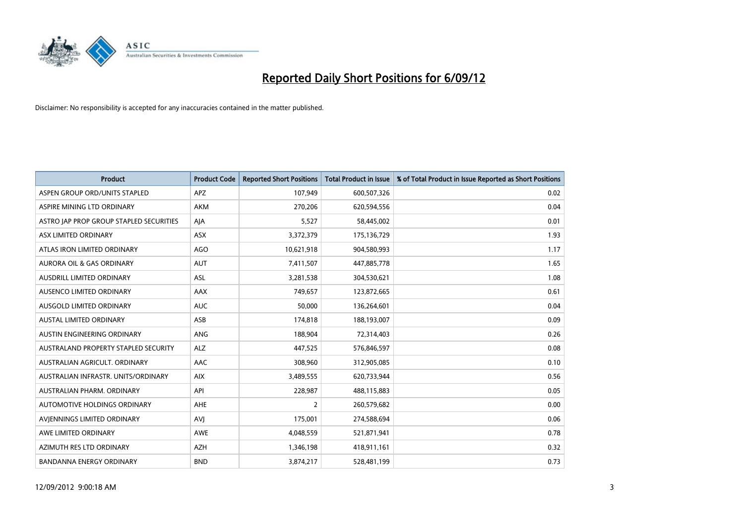

| <b>Product</b>                          | <b>Product Code</b> | <b>Reported Short Positions</b> | <b>Total Product in Issue</b> | % of Total Product in Issue Reported as Short Positions |
|-----------------------------------------|---------------------|---------------------------------|-------------------------------|---------------------------------------------------------|
| ASPEN GROUP ORD/UNITS STAPLED           | <b>APZ</b>          | 107,949                         | 600,507,326                   | 0.02                                                    |
| ASPIRE MINING LTD ORDINARY              | <b>AKM</b>          | 270,206                         | 620,594,556                   | 0.04                                                    |
| ASTRO JAP PROP GROUP STAPLED SECURITIES | AIA                 | 5,527                           | 58,445,002                    | 0.01                                                    |
| ASX LIMITED ORDINARY                    | <b>ASX</b>          | 3,372,379                       | 175,136,729                   | 1.93                                                    |
| ATLAS IRON LIMITED ORDINARY             | AGO                 | 10,621,918                      | 904,580,993                   | 1.17                                                    |
| <b>AURORA OIL &amp; GAS ORDINARY</b>    | <b>AUT</b>          | 7,411,507                       | 447,885,778                   | 1.65                                                    |
| AUSDRILL LIMITED ORDINARY               | ASL                 | 3,281,538                       | 304,530,621                   | 1.08                                                    |
| <b>AUSENCO LIMITED ORDINARY</b>         | AAX                 | 749,657                         | 123,872,665                   | 0.61                                                    |
| AUSGOLD LIMITED ORDINARY                | <b>AUC</b>          | 50,000                          | 136,264,601                   | 0.04                                                    |
| <b>AUSTAL LIMITED ORDINARY</b>          | ASB                 | 174,818                         | 188,193,007                   | 0.09                                                    |
| AUSTIN ENGINEERING ORDINARY             | <b>ANG</b>          | 188,904                         | 72,314,403                    | 0.26                                                    |
| AUSTRALAND PROPERTY STAPLED SECURITY    | <b>ALZ</b>          | 447,525                         | 576,846,597                   | 0.08                                                    |
| AUSTRALIAN AGRICULT, ORDINARY           | <b>AAC</b>          | 308,960                         | 312,905,085                   | 0.10                                                    |
| AUSTRALIAN INFRASTR, UNITS/ORDINARY     | <b>AIX</b>          | 3,489,555                       | 620,733,944                   | 0.56                                                    |
| AUSTRALIAN PHARM, ORDINARY              | API                 | 228,987                         | 488,115,883                   | 0.05                                                    |
| AUTOMOTIVE HOLDINGS ORDINARY            | AHE                 | $\overline{2}$                  | 260,579,682                   | 0.00                                                    |
| AVIENNINGS LIMITED ORDINARY             | AVI                 | 175,001                         | 274,588,694                   | 0.06                                                    |
| AWE LIMITED ORDINARY                    | <b>AWE</b>          | 4,048,559                       | 521,871,941                   | 0.78                                                    |
| AZIMUTH RES LTD ORDINARY                | <b>AZH</b>          | 1,346,198                       | 418,911,161                   | 0.32                                                    |
| BANDANNA ENERGY ORDINARY                | <b>BND</b>          | 3,874,217                       | 528,481,199                   | 0.73                                                    |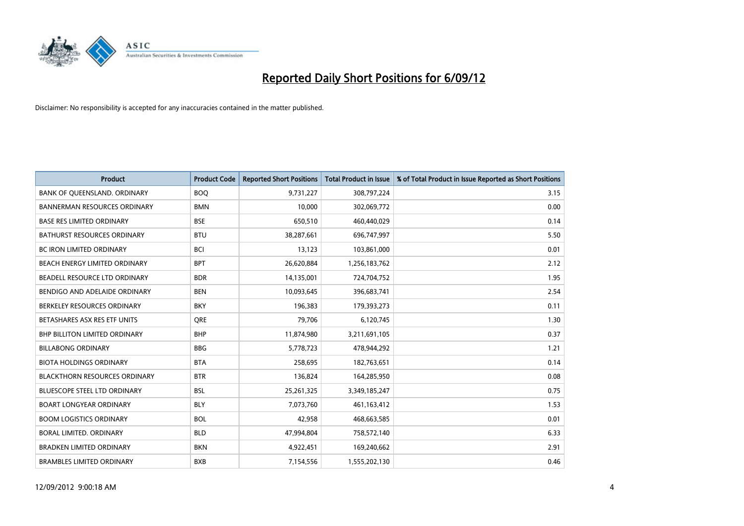

| <b>Product</b>                       | <b>Product Code</b> | <b>Reported Short Positions</b> | <b>Total Product in Issue</b> | % of Total Product in Issue Reported as Short Positions |
|--------------------------------------|---------------------|---------------------------------|-------------------------------|---------------------------------------------------------|
| BANK OF QUEENSLAND. ORDINARY         | <b>BOQ</b>          | 9,731,227                       | 308,797,224                   | 3.15                                                    |
| <b>BANNERMAN RESOURCES ORDINARY</b>  | <b>BMN</b>          | 10,000                          | 302,069,772                   | 0.00                                                    |
| <b>BASE RES LIMITED ORDINARY</b>     | <b>BSE</b>          | 650,510                         | 460,440,029                   | 0.14                                                    |
| BATHURST RESOURCES ORDINARY          | <b>BTU</b>          | 38,287,661                      | 696,747,997                   | 5.50                                                    |
| <b>BC IRON LIMITED ORDINARY</b>      | <b>BCI</b>          | 13,123                          | 103,861,000                   | 0.01                                                    |
| BEACH ENERGY LIMITED ORDINARY        | <b>BPT</b>          | 26,620,884                      | 1,256,183,762                 | 2.12                                                    |
| BEADELL RESOURCE LTD ORDINARY        | <b>BDR</b>          | 14,135,001                      | 724,704,752                   | 1.95                                                    |
| BENDIGO AND ADELAIDE ORDINARY        | <b>BEN</b>          | 10,093,645                      | 396,683,741                   | 2.54                                                    |
| BERKELEY RESOURCES ORDINARY          | <b>BKY</b>          | 196,383                         | 179,393,273                   | 0.11                                                    |
| BETASHARES ASX RES ETF UNITS         | <b>ORE</b>          | 79,706                          | 6,120,745                     | 1.30                                                    |
| <b>BHP BILLITON LIMITED ORDINARY</b> | <b>BHP</b>          | 11,874,980                      | 3,211,691,105                 | 0.37                                                    |
| <b>BILLABONG ORDINARY</b>            | <b>BBG</b>          | 5,778,723                       | 478,944,292                   | 1.21                                                    |
| <b>BIOTA HOLDINGS ORDINARY</b>       | <b>BTA</b>          | 258,695                         | 182,763,651                   | 0.14                                                    |
| <b>BLACKTHORN RESOURCES ORDINARY</b> | <b>BTR</b>          | 136,824                         | 164,285,950                   | 0.08                                                    |
| <b>BLUESCOPE STEEL LTD ORDINARY</b>  | <b>BSL</b>          | 25,261,325                      | 3,349,185,247                 | 0.75                                                    |
| <b>BOART LONGYEAR ORDINARY</b>       | <b>BLY</b>          | 7,073,760                       | 461,163,412                   | 1.53                                                    |
| <b>BOOM LOGISTICS ORDINARY</b>       | <b>BOL</b>          | 42,958                          | 468,663,585                   | 0.01                                                    |
| BORAL LIMITED. ORDINARY              | <b>BLD</b>          | 47,994,804                      | 758,572,140                   | 6.33                                                    |
| <b>BRADKEN LIMITED ORDINARY</b>      | <b>BKN</b>          | 4,922,451                       | 169,240,662                   | 2.91                                                    |
| <b>BRAMBLES LIMITED ORDINARY</b>     | <b>BXB</b>          | 7,154,556                       | 1,555,202,130                 | 0.46                                                    |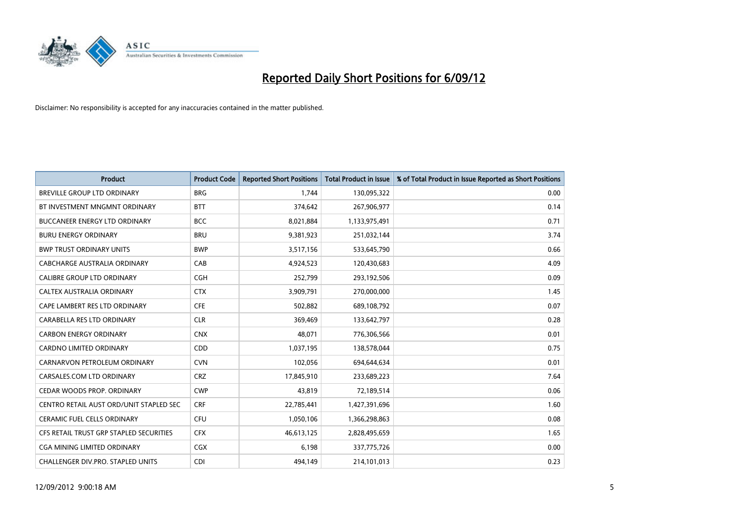

| <b>Product</b>                           | <b>Product Code</b> | <b>Reported Short Positions</b> | <b>Total Product in Issue</b> | % of Total Product in Issue Reported as Short Positions |
|------------------------------------------|---------------------|---------------------------------|-------------------------------|---------------------------------------------------------|
| <b>BREVILLE GROUP LTD ORDINARY</b>       | <b>BRG</b>          | 1,744                           | 130,095,322                   | 0.00                                                    |
| BT INVESTMENT MNGMNT ORDINARY            | <b>BTT</b>          | 374,642                         | 267,906,977                   | 0.14                                                    |
| <b>BUCCANEER ENERGY LTD ORDINARY</b>     | <b>BCC</b>          | 8,021,884                       | 1,133,975,491                 | 0.71                                                    |
| <b>BURU ENERGY ORDINARY</b>              | <b>BRU</b>          | 9,381,923                       | 251,032,144                   | 3.74                                                    |
| <b>BWP TRUST ORDINARY UNITS</b>          | <b>BWP</b>          | 3,517,156                       | 533,645,790                   | 0.66                                                    |
| CABCHARGE AUSTRALIA ORDINARY             | CAB                 | 4,924,523                       | 120,430,683                   | 4.09                                                    |
| <b>CALIBRE GROUP LTD ORDINARY</b>        | <b>CGH</b>          | 252,799                         | 293,192,506                   | 0.09                                                    |
| <b>CALTEX AUSTRALIA ORDINARY</b>         | <b>CTX</b>          | 3,909,791                       | 270,000,000                   | 1.45                                                    |
| CAPE LAMBERT RES LTD ORDINARY            | <b>CFE</b>          | 502,882                         | 689,108,792                   | 0.07                                                    |
| CARABELLA RES LTD ORDINARY               | <b>CLR</b>          | 369,469                         | 133,642,797                   | 0.28                                                    |
| <b>CARBON ENERGY ORDINARY</b>            | <b>CNX</b>          | 48,071                          | 776,306,566                   | 0.01                                                    |
| <b>CARDNO LIMITED ORDINARY</b>           | <b>CDD</b>          | 1,037,195                       | 138,578,044                   | 0.75                                                    |
| CARNARVON PETROLEUM ORDINARY             | <b>CVN</b>          | 102,056                         | 694,644,634                   | 0.01                                                    |
| CARSALES.COM LTD ORDINARY                | <b>CRZ</b>          | 17,845,910                      | 233,689,223                   | 7.64                                                    |
| CEDAR WOODS PROP. ORDINARY               | <b>CWP</b>          | 43,819                          | 72,189,514                    | 0.06                                                    |
| CENTRO RETAIL AUST ORD/UNIT STAPLED SEC  | <b>CRF</b>          | 22,785,441                      | 1,427,391,696                 | 1.60                                                    |
| <b>CERAMIC FUEL CELLS ORDINARY</b>       | <b>CFU</b>          | 1,050,106                       | 1,366,298,863                 | 0.08                                                    |
| CFS RETAIL TRUST GRP STAPLED SECURITIES  | <b>CFX</b>          | 46,613,125                      | 2,828,495,659                 | 1.65                                                    |
| <b>CGA MINING LIMITED ORDINARY</b>       | <b>CGX</b>          | 6,198                           | 337,775,726                   | 0.00                                                    |
| <b>CHALLENGER DIV.PRO. STAPLED UNITS</b> | <b>CDI</b>          | 494.149                         | 214,101,013                   | 0.23                                                    |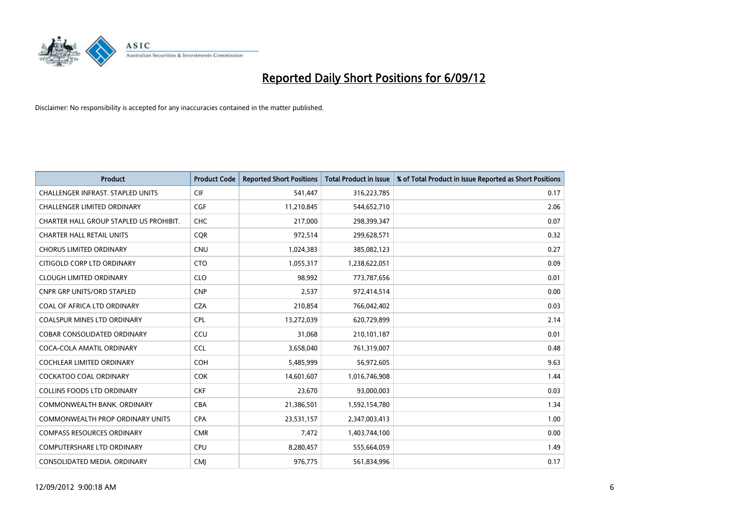

| <b>Product</b>                           | <b>Product Code</b> | <b>Reported Short Positions</b> | <b>Total Product in Issue</b> | % of Total Product in Issue Reported as Short Positions |
|------------------------------------------|---------------------|---------------------------------|-------------------------------|---------------------------------------------------------|
| <b>CHALLENGER INFRAST, STAPLED UNITS</b> | <b>CIF</b>          | 541,447                         | 316,223,785                   | 0.17                                                    |
| <b>CHALLENGER LIMITED ORDINARY</b>       | <b>CGF</b>          | 11,210,845                      | 544,652,710                   | 2.06                                                    |
| CHARTER HALL GROUP STAPLED US PROHIBIT.  | <b>CHC</b>          | 217,000                         | 298,399,347                   | 0.07                                                    |
| <b>CHARTER HALL RETAIL UNITS</b>         | <b>COR</b>          | 972,514                         | 299,628,571                   | 0.32                                                    |
| <b>CHORUS LIMITED ORDINARY</b>           | <b>CNU</b>          | 1,024,383                       | 385,082,123                   | 0.27                                                    |
| CITIGOLD CORP LTD ORDINARY               | <b>CTO</b>          | 1,055,317                       | 1,238,622,051                 | 0.09                                                    |
| <b>CLOUGH LIMITED ORDINARY</b>           | <b>CLO</b>          | 98.992                          | 773,787,656                   | 0.01                                                    |
| <b>CNPR GRP UNITS/ORD STAPLED</b>        | <b>CNP</b>          | 2,537                           | 972,414,514                   | 0.00                                                    |
| COAL OF AFRICA LTD ORDINARY              | <b>CZA</b>          | 210,854                         | 766,042,402                   | 0.03                                                    |
| <b>COALSPUR MINES LTD ORDINARY</b>       | <b>CPL</b>          | 13,272,039                      | 620,729,899                   | 2.14                                                    |
| <b>COBAR CONSOLIDATED ORDINARY</b>       | CCU                 | 31,068                          | 210,101,187                   | 0.01                                                    |
| COCA-COLA AMATIL ORDINARY                | <b>CCL</b>          | 3,658,040                       | 761,319,007                   | 0.48                                                    |
| <b>COCHLEAR LIMITED ORDINARY</b>         | <b>COH</b>          | 5,485,999                       | 56,972,605                    | 9.63                                                    |
| <b>COCKATOO COAL ORDINARY</b>            | <b>COK</b>          | 14,601,607                      | 1,016,746,908                 | 1.44                                                    |
| <b>COLLINS FOODS LTD ORDINARY</b>        | <b>CKF</b>          | 23,670                          | 93,000,003                    | 0.03                                                    |
| COMMONWEALTH BANK, ORDINARY              | <b>CBA</b>          | 21,386,501                      | 1,592,154,780                 | 1.34                                                    |
| <b>COMMONWEALTH PROP ORDINARY UNITS</b>  | <b>CPA</b>          | 23,531,157                      | 2,347,003,413                 | 1.00                                                    |
| <b>COMPASS RESOURCES ORDINARY</b>        | <b>CMR</b>          | 7,472                           | 1,403,744,100                 | 0.00                                                    |
| <b>COMPUTERSHARE LTD ORDINARY</b>        | <b>CPU</b>          | 8,280,457                       | 555,664,059                   | 1.49                                                    |
| CONSOLIDATED MEDIA, ORDINARY             | <b>CMI</b>          | 976.775                         | 561,834,996                   | 0.17                                                    |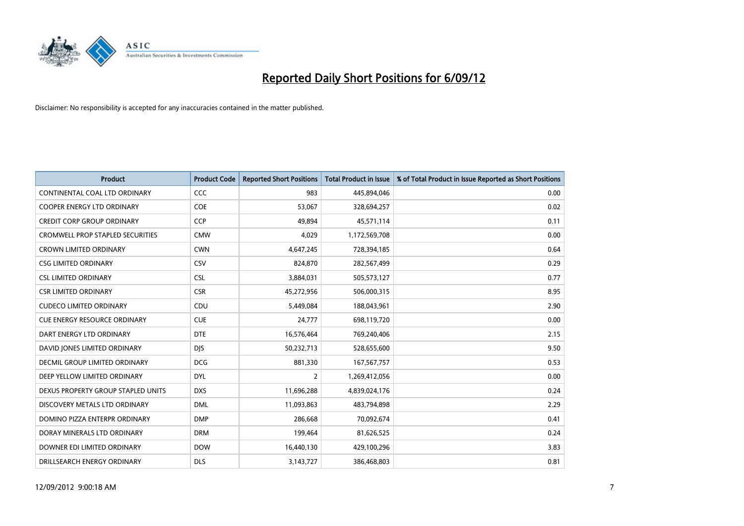

| <b>Product</b>                          | <b>Product Code</b> | <b>Reported Short Positions</b> | <b>Total Product in Issue</b> | % of Total Product in Issue Reported as Short Positions |
|-----------------------------------------|---------------------|---------------------------------|-------------------------------|---------------------------------------------------------|
| CONTINENTAL COAL LTD ORDINARY           | CCC                 | 983                             | 445,894,046                   | 0.00                                                    |
| COOPER ENERGY LTD ORDINARY              | <b>COE</b>          | 53,067                          | 328,694,257                   | 0.02                                                    |
| <b>CREDIT CORP GROUP ORDINARY</b>       | <b>CCP</b>          | 49,894                          | 45,571,114                    | 0.11                                                    |
| <b>CROMWELL PROP STAPLED SECURITIES</b> | <b>CMW</b>          | 4,029                           | 1,172,569,708                 | 0.00                                                    |
| <b>CROWN LIMITED ORDINARY</b>           | <b>CWN</b>          | 4,647,245                       | 728,394,185                   | 0.64                                                    |
| <b>CSG LIMITED ORDINARY</b>             | CSV                 | 824,870                         | 282,567,499                   | 0.29                                                    |
| <b>CSL LIMITED ORDINARY</b>             | <b>CSL</b>          | 3,884,031                       | 505,573,127                   | 0.77                                                    |
| <b>CSR LIMITED ORDINARY</b>             | <b>CSR</b>          | 45,272,956                      | 506,000,315                   | 8.95                                                    |
| <b>CUDECO LIMITED ORDINARY</b>          | CDU                 | 5,449,084                       | 188,043,961                   | 2.90                                                    |
| <b>CUE ENERGY RESOURCE ORDINARY</b>     | <b>CUE</b>          | 24,777                          | 698,119,720                   | 0.00                                                    |
| DART ENERGY LTD ORDINARY                | <b>DTE</b>          | 16,576,464                      | 769,240,406                   | 2.15                                                    |
| DAVID JONES LIMITED ORDINARY            | <b>DJS</b>          | 50,232,713                      | 528,655,600                   | 9.50                                                    |
| <b>DECMIL GROUP LIMITED ORDINARY</b>    | <b>DCG</b>          | 881,330                         | 167,567,757                   | 0.53                                                    |
| DEEP YELLOW LIMITED ORDINARY            | <b>DYL</b>          | 2                               | 1,269,412,056                 | 0.00                                                    |
| DEXUS PROPERTY GROUP STAPLED UNITS      | <b>DXS</b>          | 11,696,288                      | 4,839,024,176                 | 0.24                                                    |
| DISCOVERY METALS LTD ORDINARY           | <b>DML</b>          | 11,093,863                      | 483,794,898                   | 2.29                                                    |
| DOMINO PIZZA ENTERPR ORDINARY           | <b>DMP</b>          | 286,668                         | 70,092,674                    | 0.41                                                    |
| DORAY MINERALS LTD ORDINARY             | <b>DRM</b>          | 199,464                         | 81,626,525                    | 0.24                                                    |
| DOWNER EDI LIMITED ORDINARY             | <b>DOW</b>          | 16,440,130                      | 429,100,296                   | 3.83                                                    |
| DRILLSEARCH ENERGY ORDINARY             | <b>DLS</b>          | 3,143,727                       | 386,468,803                   | 0.81                                                    |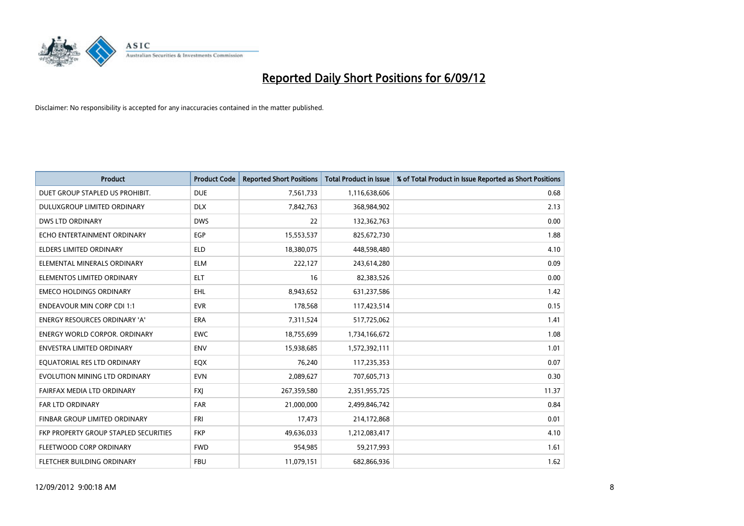

| <b>Product</b>                        | <b>Product Code</b> | <b>Reported Short Positions</b> | <b>Total Product in Issue</b> | % of Total Product in Issue Reported as Short Positions |
|---------------------------------------|---------------------|---------------------------------|-------------------------------|---------------------------------------------------------|
| DUET GROUP STAPLED US PROHIBIT.       | <b>DUE</b>          | 7,561,733                       | 1,116,638,606                 | 0.68                                                    |
| DULUXGROUP LIMITED ORDINARY           | <b>DLX</b>          | 7,842,763                       | 368,984,902                   | 2.13                                                    |
| <b>DWS LTD ORDINARY</b>               | <b>DWS</b>          | 22                              | 132,362,763                   | 0.00                                                    |
| ECHO ENTERTAINMENT ORDINARY           | EGP                 | 15,553,537                      | 825,672,730                   | 1.88                                                    |
| <b>ELDERS LIMITED ORDINARY</b>        | <b>ELD</b>          | 18,380,075                      | 448,598,480                   | 4.10                                                    |
| ELEMENTAL MINERALS ORDINARY           | <b>ELM</b>          | 222,127                         | 243,614,280                   | 0.09                                                    |
| ELEMENTOS LIMITED ORDINARY            | <b>ELT</b>          | 16                              | 82,383,526                    | 0.00                                                    |
| <b>EMECO HOLDINGS ORDINARY</b>        | <b>EHL</b>          | 8,943,652                       | 631,237,586                   | 1.42                                                    |
| <b>ENDEAVOUR MIN CORP CDI 1:1</b>     | <b>EVR</b>          | 178,568                         | 117,423,514                   | 0.15                                                    |
| <b>ENERGY RESOURCES ORDINARY 'A'</b>  | <b>ERA</b>          | 7,311,524                       | 517,725,062                   | 1.41                                                    |
| ENERGY WORLD CORPOR. ORDINARY         | <b>EWC</b>          | 18,755,699                      | 1,734,166,672                 | 1.08                                                    |
| <b>ENVESTRA LIMITED ORDINARY</b>      | <b>ENV</b>          | 15,938,685                      | 1,572,392,111                 | 1.01                                                    |
| EQUATORIAL RES LTD ORDINARY           | <b>EQX</b>          | 76,240                          | 117,235,353                   | 0.07                                                    |
| EVOLUTION MINING LTD ORDINARY         | <b>EVN</b>          | 2,089,627                       | 707,605,713                   | 0.30                                                    |
| FAIRFAX MEDIA LTD ORDINARY            | <b>FXI</b>          | 267,359,580                     | 2,351,955,725                 | 11.37                                                   |
| FAR LTD ORDINARY                      | <b>FAR</b>          | 21,000,000                      | 2,499,846,742                 | 0.84                                                    |
| FINBAR GROUP LIMITED ORDINARY         | <b>FRI</b>          | 17,473                          | 214,172,868                   | 0.01                                                    |
| FKP PROPERTY GROUP STAPLED SECURITIES | <b>FKP</b>          | 49,636,033                      | 1,212,083,417                 | 4.10                                                    |
| FLEETWOOD CORP ORDINARY               | <b>FWD</b>          | 954,985                         | 59,217,993                    | 1.61                                                    |
| FLETCHER BUILDING ORDINARY            | <b>FBU</b>          | 11,079,151                      | 682,866,936                   | 1.62                                                    |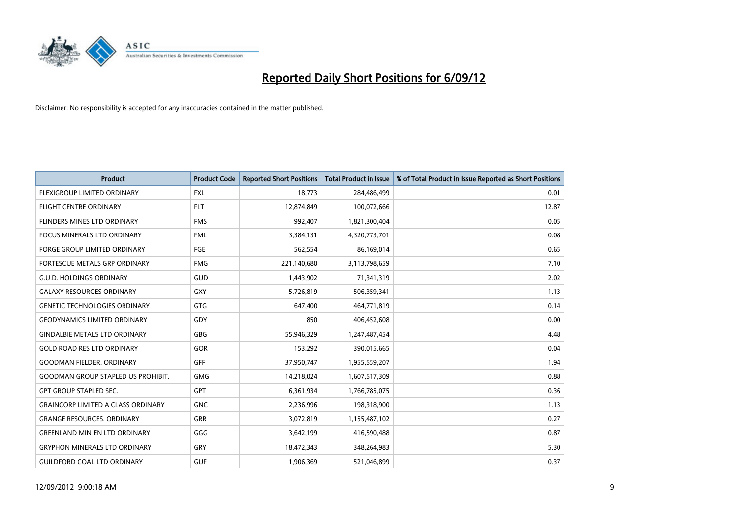

| <b>Product</b>                            | <b>Product Code</b> | <b>Reported Short Positions</b> | <b>Total Product in Issue</b> | % of Total Product in Issue Reported as Short Positions |
|-------------------------------------------|---------------------|---------------------------------|-------------------------------|---------------------------------------------------------|
| <b>FLEXIGROUP LIMITED ORDINARY</b>        | <b>FXL</b>          | 18,773                          | 284,486,499                   | 0.01                                                    |
| FLIGHT CENTRE ORDINARY                    | <b>FLT</b>          | 12,874,849                      | 100,072,666                   | 12.87                                                   |
| <b>FLINDERS MINES LTD ORDINARY</b>        | <b>FMS</b>          | 992,407                         | 1,821,300,404                 | 0.05                                                    |
| FOCUS MINERALS LTD ORDINARY               | <b>FML</b>          | 3,384,131                       | 4,320,773,701                 | 0.08                                                    |
| <b>FORGE GROUP LIMITED ORDINARY</b>       | FGE                 | 562,554                         | 86,169,014                    | 0.65                                                    |
| FORTESCUE METALS GRP ORDINARY             | <b>FMG</b>          | 221,140,680                     | 3,113,798,659                 | 7.10                                                    |
| <b>G.U.D. HOLDINGS ORDINARY</b>           | GUD                 | 1,443,902                       | 71,341,319                    | 2.02                                                    |
| <b>GALAXY RESOURCES ORDINARY</b>          | <b>GXY</b>          | 5,726,819                       | 506,359,341                   | 1.13                                                    |
| <b>GENETIC TECHNOLOGIES ORDINARY</b>      | <b>GTG</b>          | 647,400                         | 464,771,819                   | 0.14                                                    |
| <b>GEODYNAMICS LIMITED ORDINARY</b>       | GDY                 | 850                             | 406,452,608                   | 0.00                                                    |
| <b>GINDALBIE METALS LTD ORDINARY</b>      | <b>GBG</b>          | 55,946,329                      | 1,247,487,454                 | 4.48                                                    |
| <b>GOLD ROAD RES LTD ORDINARY</b>         | GOR                 | 153,292                         | 390,015,665                   | 0.04                                                    |
| <b>GOODMAN FIELDER, ORDINARY</b>          | GFF                 | 37,950,747                      | 1,955,559,207                 | 1.94                                                    |
| <b>GOODMAN GROUP STAPLED US PROHIBIT.</b> | <b>GMG</b>          | 14,218,024                      | 1,607,517,309                 | 0.88                                                    |
| <b>GPT GROUP STAPLED SEC.</b>             | <b>GPT</b>          | 6,361,934                       | 1,766,785,075                 | 0.36                                                    |
| <b>GRAINCORP LIMITED A CLASS ORDINARY</b> | <b>GNC</b>          | 2,236,996                       | 198,318,900                   | 1.13                                                    |
| <b>GRANGE RESOURCES, ORDINARY</b>         | <b>GRR</b>          | 3,072,819                       | 1,155,487,102                 | 0.27                                                    |
| <b>GREENLAND MIN EN LTD ORDINARY</b>      | GGG                 | 3,642,199                       | 416,590,488                   | 0.87                                                    |
| <b>GRYPHON MINERALS LTD ORDINARY</b>      | GRY                 | 18,472,343                      | 348,264,983                   | 5.30                                                    |
| <b>GUILDFORD COAL LTD ORDINARY</b>        | <b>GUF</b>          | 1,906,369                       | 521,046,899                   | 0.37                                                    |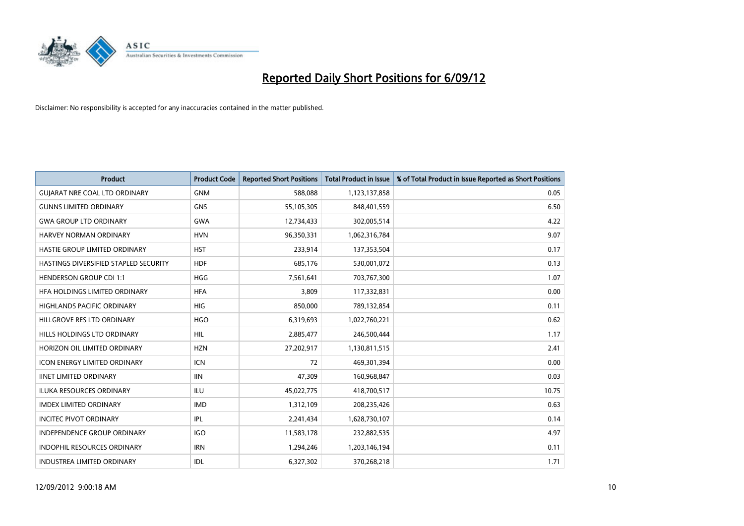

| <b>Product</b>                        | <b>Product Code</b> | <b>Reported Short Positions</b> | <b>Total Product in Issue</b> | % of Total Product in Issue Reported as Short Positions |
|---------------------------------------|---------------------|---------------------------------|-------------------------------|---------------------------------------------------------|
| <b>GUIARAT NRE COAL LTD ORDINARY</b>  | <b>GNM</b>          | 588,088                         | 1,123,137,858                 | 0.05                                                    |
| <b>GUNNS LIMITED ORDINARY</b>         | <b>GNS</b>          | 55,105,305                      | 848,401,559                   | 6.50                                                    |
| <b>GWA GROUP LTD ORDINARY</b>         | <b>GWA</b>          | 12,734,433                      | 302,005,514                   | 4.22                                                    |
| HARVEY NORMAN ORDINARY                | <b>HVN</b>          | 96,350,331                      | 1,062,316,784                 | 9.07                                                    |
| HASTIE GROUP LIMITED ORDINARY         | <b>HST</b>          | 233,914                         | 137,353,504                   | 0.17                                                    |
| HASTINGS DIVERSIFIED STAPLED SECURITY | <b>HDF</b>          | 685,176                         | 530,001,072                   | 0.13                                                    |
| <b>HENDERSON GROUP CDI 1:1</b>        | <b>HGG</b>          | 7,561,641                       | 703,767,300                   | 1.07                                                    |
| HFA HOLDINGS LIMITED ORDINARY         | <b>HFA</b>          | 3,809                           | 117,332,831                   | 0.00                                                    |
| HIGHLANDS PACIFIC ORDINARY            | <b>HIG</b>          | 850,000                         | 789,132,854                   | 0.11                                                    |
| HILLGROVE RES LTD ORDINARY            | <b>HGO</b>          | 6,319,693                       | 1,022,760,221                 | 0.62                                                    |
| HILLS HOLDINGS LTD ORDINARY           | <b>HIL</b>          | 2,885,477                       | 246,500,444                   | 1.17                                                    |
| HORIZON OIL LIMITED ORDINARY          | <b>HZN</b>          | 27,202,917                      | 1,130,811,515                 | 2.41                                                    |
| ICON ENERGY LIMITED ORDINARY          | <b>ICN</b>          | 72                              | 469,301,394                   | 0.00                                                    |
| <b>IINET LIMITED ORDINARY</b>         | <b>IIN</b>          | 47,309                          | 160,968,847                   | 0.03                                                    |
| <b>ILUKA RESOURCES ORDINARY</b>       | <b>ILU</b>          | 45,022,775                      | 418,700,517                   | 10.75                                                   |
| <b>IMDEX LIMITED ORDINARY</b>         | <b>IMD</b>          | 1,312,109                       | 208,235,426                   | 0.63                                                    |
| <b>INCITEC PIVOT ORDINARY</b>         | IPL                 | 2,241,434                       | 1,628,730,107                 | 0.14                                                    |
| <b>INDEPENDENCE GROUP ORDINARY</b>    | <b>IGO</b>          | 11,583,178                      | 232,882,535                   | 4.97                                                    |
| <b>INDOPHIL RESOURCES ORDINARY</b>    | <b>IRN</b>          | 1,294,246                       | 1,203,146,194                 | 0.11                                                    |
| <b>INDUSTREA LIMITED ORDINARY</b>     | IDL                 | 6,327,302                       | 370,268,218                   | 1.71                                                    |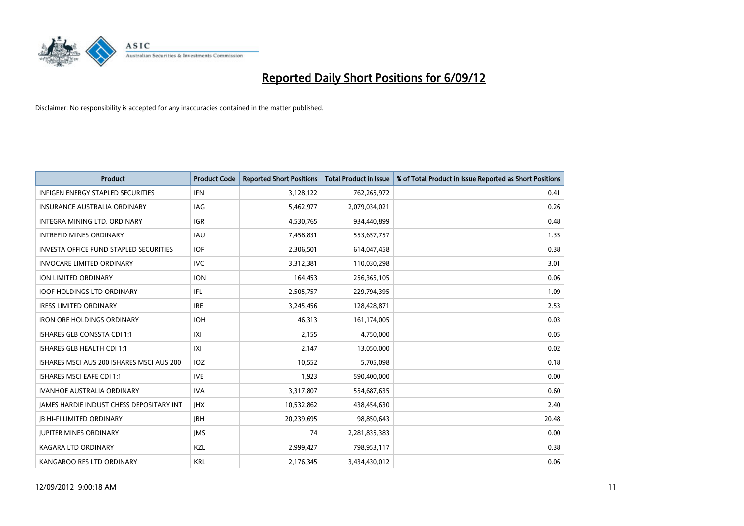

| <b>Product</b>                                  | <b>Product Code</b> | <b>Reported Short Positions</b> | <b>Total Product in Issue</b> | % of Total Product in Issue Reported as Short Positions |
|-------------------------------------------------|---------------------|---------------------------------|-------------------------------|---------------------------------------------------------|
| <b>INFIGEN ENERGY STAPLED SECURITIES</b>        | <b>IFN</b>          | 3,128,122                       | 762,265,972                   | 0.41                                                    |
| INSURANCE AUSTRALIA ORDINARY                    | IAG.                | 5,462,977                       | 2,079,034,021                 | 0.26                                                    |
| <b>INTEGRA MINING LTD, ORDINARY</b>             | <b>IGR</b>          | 4,530,765                       | 934,440,899                   | 0.48                                                    |
| <b>INTREPID MINES ORDINARY</b>                  | <b>IAU</b>          | 7,458,831                       | 553,657,757                   | 1.35                                                    |
| <b>INVESTA OFFICE FUND STAPLED SECURITIES</b>   | <b>IOF</b>          | 2,306,501                       | 614,047,458                   | 0.38                                                    |
| <b>INVOCARE LIMITED ORDINARY</b>                | <b>IVC</b>          | 3,312,381                       | 110,030,298                   | 3.01                                                    |
| <b>ION LIMITED ORDINARY</b>                     | <b>ION</b>          | 164,453                         | 256,365,105                   | 0.06                                                    |
| <b>IOOF HOLDINGS LTD ORDINARY</b>               | <b>IFL</b>          | 2,505,757                       | 229,794,395                   | 1.09                                                    |
| <b>IRESS LIMITED ORDINARY</b>                   | <b>IRE</b>          | 3,245,456                       | 128,428,871                   | 2.53                                                    |
| <b>IRON ORE HOLDINGS ORDINARY</b>               | <b>IOH</b>          | 46,313                          | 161,174,005                   | 0.03                                                    |
| ISHARES GLB CONSSTA CDI 1:1                     | X                   | 2,155                           | 4,750,000                     | 0.05                                                    |
| ISHARES GLB HEALTH CDI 1:1                      | IXJ                 | 2,147                           | 13,050,000                    | 0.02                                                    |
| ISHARES MSCI AUS 200 ISHARES MSCI AUS 200       | <b>IOZ</b>          | 10,552                          | 5,705,098                     | 0.18                                                    |
| <b>ISHARES MSCI EAFE CDI 1:1</b>                | <b>IVE</b>          | 1,923                           | 590,400,000                   | 0.00                                                    |
| <b>IVANHOE AUSTRALIA ORDINARY</b>               | <b>IVA</b>          | 3,317,807                       | 554,687,635                   | 0.60                                                    |
| <b>JAMES HARDIE INDUST CHESS DEPOSITARY INT</b> | <b>IHX</b>          | 10,532,862                      | 438,454,630                   | 2.40                                                    |
| <b>IB HI-FI LIMITED ORDINARY</b>                | <b>IBH</b>          | 20,239,695                      | 98,850,643                    | 20.48                                                   |
| <b>JUPITER MINES ORDINARY</b>                   | <b>IMS</b>          | 74                              | 2,281,835,383                 | 0.00                                                    |
| <b>KAGARA LTD ORDINARY</b>                      | <b>KZL</b>          | 2,999,427                       | 798,953,117                   | 0.38                                                    |
| KANGAROO RES LTD ORDINARY                       | <b>KRL</b>          | 2,176,345                       | 3,434,430,012                 | 0.06                                                    |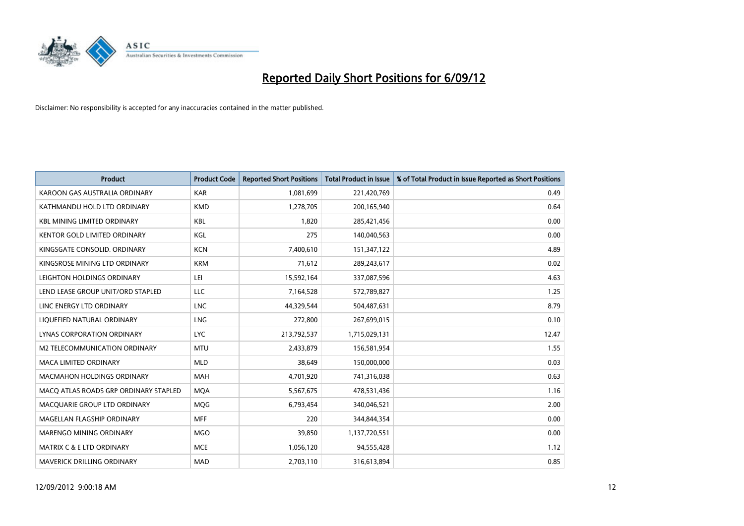

| <b>Product</b>                        | <b>Product Code</b> | <b>Reported Short Positions</b> | <b>Total Product in Issue</b> | % of Total Product in Issue Reported as Short Positions |
|---------------------------------------|---------------------|---------------------------------|-------------------------------|---------------------------------------------------------|
| KAROON GAS AUSTRALIA ORDINARY         | <b>KAR</b>          | 1,081,699                       | 221,420,769                   | 0.49                                                    |
| KATHMANDU HOLD LTD ORDINARY           | <b>KMD</b>          | 1,278,705                       | 200,165,940                   | 0.64                                                    |
| <b>KBL MINING LIMITED ORDINARY</b>    | <b>KBL</b>          | 1,820                           | 285,421,456                   | 0.00                                                    |
| KENTOR GOLD LIMITED ORDINARY          | KGL                 | 275                             | 140,040,563                   | 0.00                                                    |
| KINGSGATE CONSOLID. ORDINARY          | <b>KCN</b>          | 7,400,610                       | 151,347,122                   | 4.89                                                    |
| KINGSROSE MINING LTD ORDINARY         | <b>KRM</b>          | 71,612                          | 289,243,617                   | 0.02                                                    |
| LEIGHTON HOLDINGS ORDINARY            | LEI                 | 15,592,164                      | 337,087,596                   | 4.63                                                    |
| LEND LEASE GROUP UNIT/ORD STAPLED     | LLC                 | 7,164,528                       | 572,789,827                   | 1.25                                                    |
| LINC ENERGY LTD ORDINARY              | <b>LNC</b>          | 44,329,544                      | 504,487,631                   | 8.79                                                    |
| LIQUEFIED NATURAL ORDINARY            | <b>LNG</b>          | 272,800                         | 267,699,015                   | 0.10                                                    |
| LYNAS CORPORATION ORDINARY            | <b>LYC</b>          | 213,792,537                     | 1,715,029,131                 | 12.47                                                   |
| M2 TELECOMMUNICATION ORDINARY         | <b>MTU</b>          | 2,433,879                       | 156,581,954                   | 1.55                                                    |
| MACA LIMITED ORDINARY                 | <b>MLD</b>          | 38,649                          | 150,000,000                   | 0.03                                                    |
| <b>MACMAHON HOLDINGS ORDINARY</b>     | <b>MAH</b>          | 4,701,920                       | 741,316,038                   | 0.63                                                    |
| MACQ ATLAS ROADS GRP ORDINARY STAPLED | <b>MOA</b>          | 5,567,675                       | 478,531,436                   | 1.16                                                    |
| MACQUARIE GROUP LTD ORDINARY          | <b>MOG</b>          | 6,793,454                       | 340,046,521                   | 2.00                                                    |
| MAGELLAN FLAGSHIP ORDINARY            | <b>MFF</b>          | 220                             | 344,844,354                   | 0.00                                                    |
| MARENGO MINING ORDINARY               | <b>MGO</b>          | 39,850                          | 1,137,720,551                 | 0.00                                                    |
| MATRIX C & E LTD ORDINARY             | <b>MCE</b>          | 1,056,120                       | 94,555,428                    | 1.12                                                    |
| MAVERICK DRILLING ORDINARY            | <b>MAD</b>          | 2,703,110                       | 316,613,894                   | 0.85                                                    |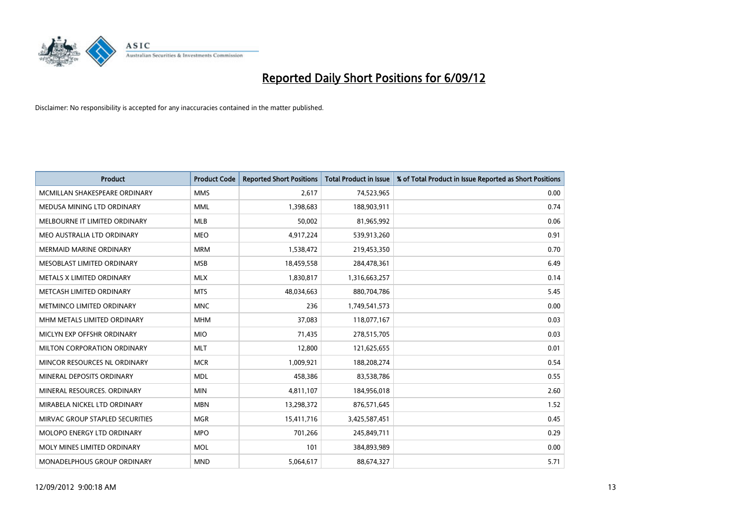

| <b>Product</b>                   | <b>Product Code</b> | <b>Reported Short Positions</b> | <b>Total Product in Issue</b> | % of Total Product in Issue Reported as Short Positions |
|----------------------------------|---------------------|---------------------------------|-------------------------------|---------------------------------------------------------|
| MCMILLAN SHAKESPEARE ORDINARY    | <b>MMS</b>          | 2,617                           | 74,523,965                    | 0.00                                                    |
| MEDUSA MINING LTD ORDINARY       | <b>MML</b>          | 1,398,683                       | 188,903,911                   | 0.74                                                    |
| MELBOURNE IT LIMITED ORDINARY    | <b>MLB</b>          | 50,002                          | 81,965,992                    | 0.06                                                    |
| MEO AUSTRALIA LTD ORDINARY       | <b>MEO</b>          | 4,917,224                       | 539,913,260                   | 0.91                                                    |
| <b>MERMAID MARINE ORDINARY</b>   | <b>MRM</b>          | 1,538,472                       | 219,453,350                   | 0.70                                                    |
| MESOBLAST LIMITED ORDINARY       | <b>MSB</b>          | 18,459,558                      | 284,478,361                   | 6.49                                                    |
| <b>METALS X LIMITED ORDINARY</b> | <b>MLX</b>          | 1,830,817                       | 1,316,663,257                 | 0.14                                                    |
| METCASH LIMITED ORDINARY         | <b>MTS</b>          | 48,034,663                      | 880,704,786                   | 5.45                                                    |
| METMINCO LIMITED ORDINARY        | <b>MNC</b>          | 236                             | 1,749,541,573                 | 0.00                                                    |
| MHM METALS LIMITED ORDINARY      | <b>MHM</b>          | 37,083                          | 118,077,167                   | 0.03                                                    |
| MICLYN EXP OFFSHR ORDINARY       | <b>MIO</b>          | 71,435                          | 278,515,705                   | 0.03                                                    |
| MILTON CORPORATION ORDINARY      | <b>MLT</b>          | 12,800                          | 121,625,655                   | 0.01                                                    |
| MINCOR RESOURCES NL ORDINARY     | <b>MCR</b>          | 1,009,921                       | 188,208,274                   | 0.54                                                    |
| MINERAL DEPOSITS ORDINARY        | <b>MDL</b>          | 458,386                         | 83,538,786                    | 0.55                                                    |
| MINERAL RESOURCES, ORDINARY      | <b>MIN</b>          | 4,811,107                       | 184,956,018                   | 2.60                                                    |
| MIRABELA NICKEL LTD ORDINARY     | <b>MBN</b>          | 13,298,372                      | 876,571,645                   | 1.52                                                    |
| MIRVAC GROUP STAPLED SECURITIES  | <b>MGR</b>          | 15,411,716                      | 3,425,587,451                 | 0.45                                                    |
| MOLOPO ENERGY LTD ORDINARY       | <b>MPO</b>          | 701,266                         | 245,849,711                   | 0.29                                                    |
| MOLY MINES LIMITED ORDINARY      | <b>MOL</b>          | 101                             | 384,893,989                   | 0.00                                                    |
| MONADELPHOUS GROUP ORDINARY      | <b>MND</b>          | 5,064,617                       | 88,674,327                    | 5.71                                                    |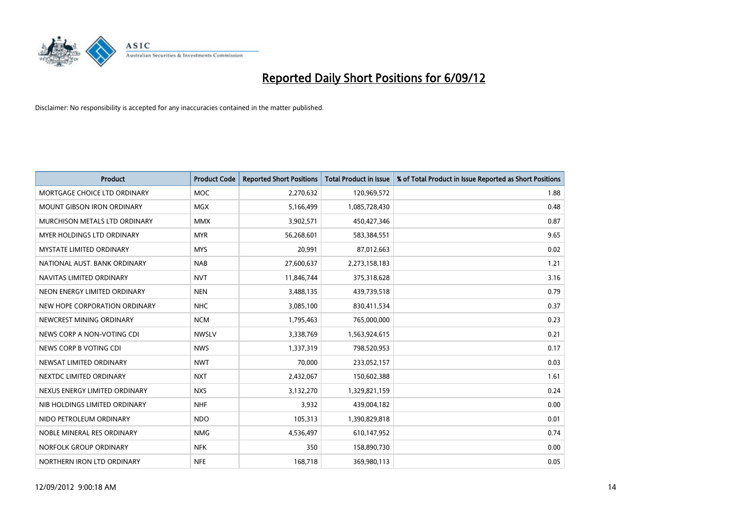

| <b>Product</b>                  | <b>Product Code</b> | <b>Reported Short Positions</b> | <b>Total Product in Issue</b> | % of Total Product in Issue Reported as Short Positions |
|---------------------------------|---------------------|---------------------------------|-------------------------------|---------------------------------------------------------|
| MORTGAGE CHOICE LTD ORDINARY    | <b>MOC</b>          | 2,270,632                       | 120,969,572                   | 1.88                                                    |
| MOUNT GIBSON IRON ORDINARY      | <b>MGX</b>          | 5,166,499                       | 1,085,728,430                 | 0.48                                                    |
| MURCHISON METALS LTD ORDINARY   | <b>MMX</b>          | 3,902,571                       | 450,427,346                   | 0.87                                                    |
| MYER HOLDINGS LTD ORDINARY      | <b>MYR</b>          | 56,268,601                      | 583,384,551                   | 9.65                                                    |
| <b>MYSTATE LIMITED ORDINARY</b> | <b>MYS</b>          | 20,991                          | 87,012,663                    | 0.02                                                    |
| NATIONAL AUST, BANK ORDINARY    | <b>NAB</b>          | 27,600,637                      | 2,273,158,183                 | 1.21                                                    |
| NAVITAS LIMITED ORDINARY        | <b>NVT</b>          | 11,846,744                      | 375,318,628                   | 3.16                                                    |
| NEON ENERGY LIMITED ORDINARY    | <b>NEN</b>          | 3,488,135                       | 439,739,518                   | 0.79                                                    |
| NEW HOPE CORPORATION ORDINARY   | <b>NHC</b>          | 3,085,100                       | 830,411,534                   | 0.37                                                    |
| NEWCREST MINING ORDINARY        | <b>NCM</b>          | 1,795,463                       | 765,000,000                   | 0.23                                                    |
| NEWS CORP A NON-VOTING CDI      | <b>NWSLV</b>        | 3,338,769                       | 1,563,924,615                 | 0.21                                                    |
| NEWS CORP B VOTING CDI          | <b>NWS</b>          | 1,337,319                       | 798,520,953                   | 0.17                                                    |
| NEWSAT LIMITED ORDINARY         | <b>NWT</b>          | 70,000                          | 233,052,157                   | 0.03                                                    |
| NEXTDC LIMITED ORDINARY         | <b>NXT</b>          | 2,432,067                       | 150,602,388                   | 1.61                                                    |
| NEXUS ENERGY LIMITED ORDINARY   | <b>NXS</b>          | 3,132,270                       | 1,329,821,159                 | 0.24                                                    |
| NIB HOLDINGS LIMITED ORDINARY   | <b>NHF</b>          | 3,932                           | 439,004,182                   | 0.00                                                    |
| NIDO PETROLEUM ORDINARY         | <b>NDO</b>          | 105,313                         | 1,390,829,818                 | 0.01                                                    |
| NOBLE MINERAL RES ORDINARY      | <b>NMG</b>          | 4,536,497                       | 610,147,952                   | 0.74                                                    |
| NORFOLK GROUP ORDINARY          | <b>NFK</b>          | 350                             | 158,890,730                   | 0.00                                                    |
| NORTHERN IRON LTD ORDINARY      | <b>NFE</b>          | 168,718                         | 369,980,113                   | 0.05                                                    |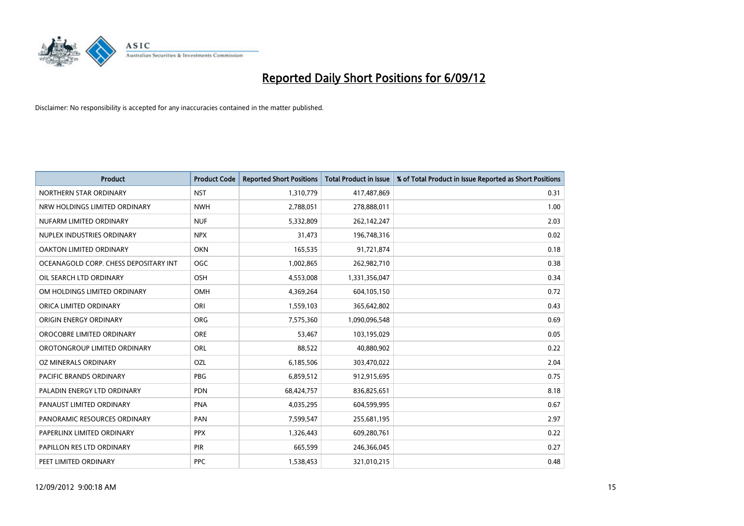

| <b>Product</b>                        | <b>Product Code</b> | <b>Reported Short Positions</b> | <b>Total Product in Issue</b> | % of Total Product in Issue Reported as Short Positions |
|---------------------------------------|---------------------|---------------------------------|-------------------------------|---------------------------------------------------------|
| NORTHERN STAR ORDINARY                | <b>NST</b>          | 1,310,779                       | 417,487,869                   | 0.31                                                    |
| NRW HOLDINGS LIMITED ORDINARY         | <b>NWH</b>          | 2,788,051                       | 278,888,011                   | 1.00                                                    |
| NUFARM LIMITED ORDINARY               | <b>NUF</b>          | 5,332,809                       | 262,142,247                   | 2.03                                                    |
| NUPLEX INDUSTRIES ORDINARY            | <b>NPX</b>          | 31,473                          | 196,748,316                   | 0.02                                                    |
| OAKTON LIMITED ORDINARY               | <b>OKN</b>          | 165,535                         | 91,721,874                    | 0.18                                                    |
| OCEANAGOLD CORP. CHESS DEPOSITARY INT | <b>OGC</b>          | 1,002,865                       | 262,982,710                   | 0.38                                                    |
| OIL SEARCH LTD ORDINARY               | <b>OSH</b>          | 4,553,008                       | 1,331,356,047                 | 0.34                                                    |
| OM HOLDINGS LIMITED ORDINARY          | <b>OMH</b>          | 4,369,264                       | 604,105,150                   | 0.72                                                    |
| ORICA LIMITED ORDINARY                | ORI                 | 1,559,103                       | 365,642,802                   | 0.43                                                    |
| ORIGIN ENERGY ORDINARY                | ORG                 | 7,575,360                       | 1,090,096,548                 | 0.69                                                    |
| OROCOBRE LIMITED ORDINARY             | <b>ORE</b>          | 53,467                          | 103,195,029                   | 0.05                                                    |
| OROTONGROUP LIMITED ORDINARY          | <b>ORL</b>          | 88,522                          | 40,880,902                    | 0.22                                                    |
| OZ MINERALS ORDINARY                  | OZL                 | 6,185,506                       | 303,470,022                   | 2.04                                                    |
| <b>PACIFIC BRANDS ORDINARY</b>        | <b>PBG</b>          | 6,859,512                       | 912,915,695                   | 0.75                                                    |
| PALADIN ENERGY LTD ORDINARY           | <b>PDN</b>          | 68,424,757                      | 836,825,651                   | 8.18                                                    |
| PANAUST LIMITED ORDINARY              | <b>PNA</b>          | 4,035,295                       | 604,599,995                   | 0.67                                                    |
| PANORAMIC RESOURCES ORDINARY          | PAN                 | 7,599,547                       | 255,681,195                   | 2.97                                                    |
| PAPERLINX LIMITED ORDINARY            | <b>PPX</b>          | 1,326,443                       | 609,280,761                   | 0.22                                                    |
| PAPILLON RES LTD ORDINARY             | <b>PIR</b>          | 665,599                         | 246,366,045                   | 0.27                                                    |
| PEET LIMITED ORDINARY                 | <b>PPC</b>          | 1,538,453                       | 321,010,215                   | 0.48                                                    |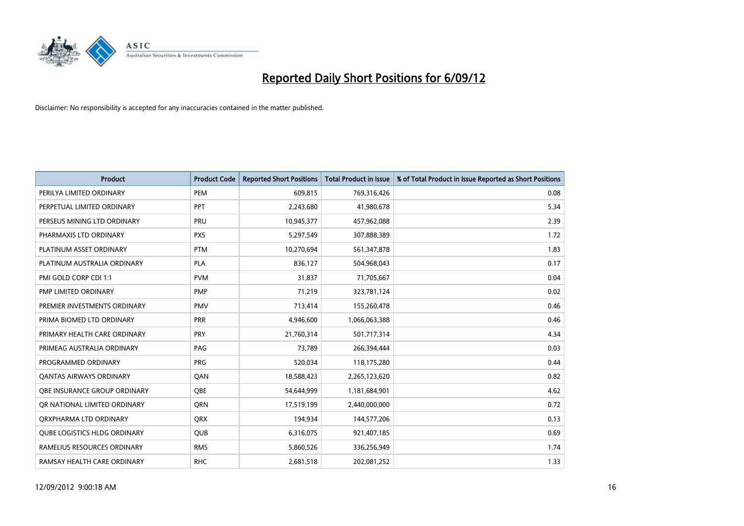

| <b>Product</b>                 | <b>Product Code</b> | <b>Reported Short Positions</b> | <b>Total Product in Issue</b> | % of Total Product in Issue Reported as Short Positions |
|--------------------------------|---------------------|---------------------------------|-------------------------------|---------------------------------------------------------|
| PERILYA LIMITED ORDINARY       | PEM                 | 609,815                         | 769,316,426                   | 0.08                                                    |
| PERPETUAL LIMITED ORDINARY     | PPT                 | 2,243,680                       | 41,980,678                    | 5.34                                                    |
| PERSEUS MINING LTD ORDINARY    | PRU                 | 10,945,377                      | 457,962,088                   | 2.39                                                    |
| PHARMAXIS LTD ORDINARY         | <b>PXS</b>          | 5,297,549                       | 307,888,389                   | 1.72                                                    |
| PLATINUM ASSET ORDINARY        | <b>PTM</b>          | 10,270,694                      | 561,347,878                   | 1.83                                                    |
| PLATINUM AUSTRALIA ORDINARY    | <b>PLA</b>          | 836,127                         | 504,968,043                   | 0.17                                                    |
| PMI GOLD CORP CDI 1:1          | <b>PVM</b>          | 31,837                          | 71,705,667                    | 0.04                                                    |
| PMP LIMITED ORDINARY           | <b>PMP</b>          | 71,219                          | 323,781,124                   | 0.02                                                    |
| PREMIER INVESTMENTS ORDINARY   | <b>PMV</b>          | 713,414                         | 155,260,478                   | 0.46                                                    |
| PRIMA BIOMED LTD ORDINARY      | <b>PRR</b>          | 4,946,600                       | 1,066,063,388                 | 0.46                                                    |
| PRIMARY HEALTH CARE ORDINARY   | <b>PRY</b>          | 21,760,314                      | 501,717,314                   | 4.34                                                    |
| PRIMEAG AUSTRALIA ORDINARY     | PAG                 | 73,789                          | 266,394,444                   | 0.03                                                    |
| PROGRAMMED ORDINARY            | <b>PRG</b>          | 520,034                         | 118,175,280                   | 0.44                                                    |
| <b>QANTAS AIRWAYS ORDINARY</b> | QAN                 | 18,588,423                      | 2,265,123,620                 | 0.82                                                    |
| OBE INSURANCE GROUP ORDINARY   | <b>OBE</b>          | 54,644,999                      | 1,181,684,901                 | 4.62                                                    |
| OR NATIONAL LIMITED ORDINARY   | <b>ORN</b>          | 17,519,199                      | 2,440,000,000                 | 0.72                                                    |
| ORXPHARMA LTD ORDINARY         | <b>QRX</b>          | 194,934                         | 144,577,206                   | 0.13                                                    |
| QUBE LOGISTICS HLDG ORDINARY   | QUB                 | 6,316,075                       | 921,407,185                   | 0.69                                                    |
| RAMELIUS RESOURCES ORDINARY    | <b>RMS</b>          | 5,860,526                       | 336,256,949                   | 1.74                                                    |
| RAMSAY HEALTH CARE ORDINARY    | <b>RHC</b>          | 2,681,518                       | 202,081,252                   | 1.33                                                    |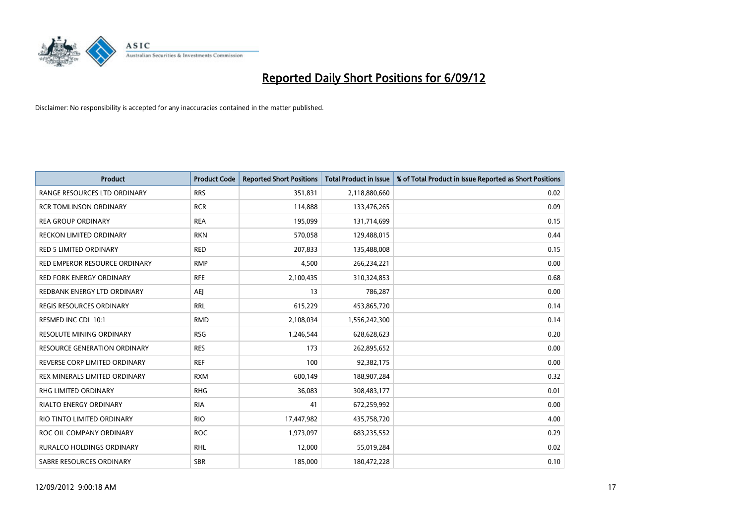

| <b>Product</b>                      | <b>Product Code</b> | <b>Reported Short Positions</b> | <b>Total Product in Issue</b> | % of Total Product in Issue Reported as Short Positions |
|-------------------------------------|---------------------|---------------------------------|-------------------------------|---------------------------------------------------------|
| RANGE RESOURCES LTD ORDINARY        | <b>RRS</b>          | 351,831                         | 2,118,880,660                 | 0.02                                                    |
| <b>RCR TOMLINSON ORDINARY</b>       | <b>RCR</b>          | 114,888                         | 133,476,265                   | 0.09                                                    |
| <b>REA GROUP ORDINARY</b>           | <b>REA</b>          | 195,099                         | 131,714,699                   | 0.15                                                    |
| RECKON LIMITED ORDINARY             | <b>RKN</b>          | 570,058                         | 129,488,015                   | 0.44                                                    |
| <b>RED 5 LIMITED ORDINARY</b>       | <b>RED</b>          | 207,833                         | 135,488,008                   | 0.15                                                    |
| RED EMPEROR RESOURCE ORDINARY       | <b>RMP</b>          | 4,500                           | 266,234,221                   | 0.00                                                    |
| <b>RED FORK ENERGY ORDINARY</b>     | <b>RFE</b>          | 2,100,435                       | 310,324,853                   | 0.68                                                    |
| REDBANK ENERGY LTD ORDINARY         | AEJ                 | 13                              | 786,287                       | 0.00                                                    |
| REGIS RESOURCES ORDINARY            | <b>RRL</b>          | 615,229                         | 453,865,720                   | 0.14                                                    |
| RESMED INC CDI 10:1                 | <b>RMD</b>          | 2,108,034                       | 1,556,242,300                 | 0.14                                                    |
| RESOLUTE MINING ORDINARY            | <b>RSG</b>          | 1,246,544                       | 628,628,623                   | 0.20                                                    |
| <b>RESOURCE GENERATION ORDINARY</b> | <b>RES</b>          | 173                             | 262,895,652                   | 0.00                                                    |
| REVERSE CORP LIMITED ORDINARY       | <b>REF</b>          | 100                             | 92,382,175                    | 0.00                                                    |
| REX MINERALS LIMITED ORDINARY       | <b>RXM</b>          | 600,149                         | 188,907,284                   | 0.32                                                    |
| <b>RHG LIMITED ORDINARY</b>         | <b>RHG</b>          | 36,083                          | 308,483,177                   | 0.01                                                    |
| RIALTO ENERGY ORDINARY              | <b>RIA</b>          | 41                              | 672,259,992                   | 0.00                                                    |
| RIO TINTO LIMITED ORDINARY          | <b>RIO</b>          | 17,447,982                      | 435,758,720                   | 4.00                                                    |
| ROC OIL COMPANY ORDINARY            | <b>ROC</b>          | 1,973,097                       | 683,235,552                   | 0.29                                                    |
| <b>RURALCO HOLDINGS ORDINARY</b>    | <b>RHL</b>          | 12,000                          | 55,019,284                    | 0.02                                                    |
| SABRE RESOURCES ORDINARY            | <b>SBR</b>          | 185,000                         | 180.472.228                   | 0.10                                                    |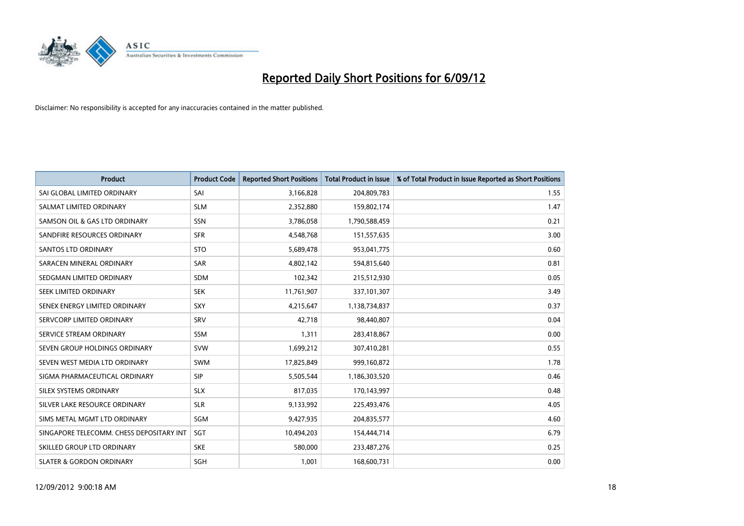

| <b>Product</b>                           | <b>Product Code</b> | <b>Reported Short Positions</b> | <b>Total Product in Issue</b> | % of Total Product in Issue Reported as Short Positions |
|------------------------------------------|---------------------|---------------------------------|-------------------------------|---------------------------------------------------------|
| SAI GLOBAL LIMITED ORDINARY              | SAI                 | 3,166,828                       | 204,809,783                   | 1.55                                                    |
| SALMAT LIMITED ORDINARY                  | <b>SLM</b>          | 2,352,880                       | 159,802,174                   | 1.47                                                    |
| SAMSON OIL & GAS LTD ORDINARY            | SSN                 | 3,786,058                       | 1,790,588,459                 | 0.21                                                    |
| SANDFIRE RESOURCES ORDINARY              | <b>SFR</b>          | 4,548,768                       | 151,557,635                   | 3.00                                                    |
| SANTOS LTD ORDINARY                      | <b>STO</b>          | 5,689,478                       | 953,041,775                   | 0.60                                                    |
| SARACEN MINERAL ORDINARY                 | <b>SAR</b>          | 4,802,142                       | 594,815,640                   | 0.81                                                    |
| SEDGMAN LIMITED ORDINARY                 | <b>SDM</b>          | 102,342                         | 215,512,930                   | 0.05                                                    |
| SEEK LIMITED ORDINARY                    | <b>SEK</b>          | 11,761,907                      | 337,101,307                   | 3.49                                                    |
| SENEX ENERGY LIMITED ORDINARY            | <b>SXY</b>          | 4,215,647                       | 1,138,734,837                 | 0.37                                                    |
| SERVCORP LIMITED ORDINARY                | SRV                 | 42,718                          | 98,440,807                    | 0.04                                                    |
| SERVICE STREAM ORDINARY                  | <b>SSM</b>          | 1,311                           | 283,418,867                   | 0.00                                                    |
| SEVEN GROUP HOLDINGS ORDINARY            | <b>SVW</b>          | 1,699,212                       | 307,410,281                   | 0.55                                                    |
| SEVEN WEST MEDIA LTD ORDINARY            | <b>SWM</b>          | 17,825,849                      | 999,160,872                   | 1.78                                                    |
| SIGMA PHARMACEUTICAL ORDINARY            | <b>SIP</b>          | 5,505,544                       | 1,186,303,520                 | 0.46                                                    |
| SILEX SYSTEMS ORDINARY                   | <b>SLX</b>          | 817,035                         | 170,143,997                   | 0.48                                                    |
| SILVER LAKE RESOURCE ORDINARY            | <b>SLR</b>          | 9,133,992                       | 225,493,476                   | 4.05                                                    |
| SIMS METAL MGMT LTD ORDINARY             | SGM                 | 9,427,935                       | 204,835,577                   | 4.60                                                    |
| SINGAPORE TELECOMM. CHESS DEPOSITARY INT | <b>SGT</b>          | 10,494,203                      | 154,444,714                   | 6.79                                                    |
| SKILLED GROUP LTD ORDINARY               | <b>SKE</b>          | 580.000                         | 233,487,276                   | 0.25                                                    |
| <b>SLATER &amp; GORDON ORDINARY</b>      | SGH                 | 1,001                           | 168,600,731                   | 0.00                                                    |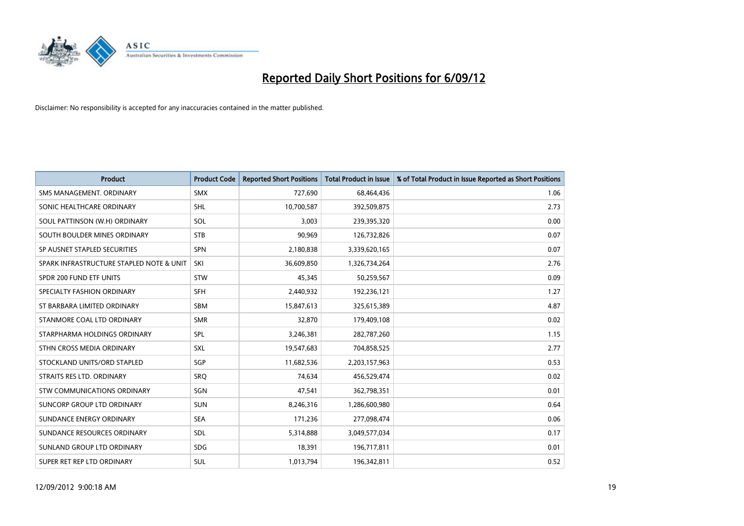

| <b>Product</b>                           | <b>Product Code</b> | <b>Reported Short Positions</b> | <b>Total Product in Issue</b> | % of Total Product in Issue Reported as Short Positions |
|------------------------------------------|---------------------|---------------------------------|-------------------------------|---------------------------------------------------------|
| SMS MANAGEMENT, ORDINARY                 | <b>SMX</b>          | 727,690                         | 68,464,436                    | 1.06                                                    |
| SONIC HEALTHCARE ORDINARY                | <b>SHL</b>          | 10,700,587                      | 392,509,875                   | 2.73                                                    |
| SOUL PATTINSON (W.H) ORDINARY            | SOL                 | 3.003                           | 239,395,320                   | 0.00                                                    |
| SOUTH BOULDER MINES ORDINARY             | <b>STB</b>          | 90,969                          | 126,732,826                   | 0.07                                                    |
| SP AUSNET STAPLED SECURITIES             | <b>SPN</b>          | 2,180,838                       | 3,339,620,165                 | 0.07                                                    |
| SPARK INFRASTRUCTURE STAPLED NOTE & UNIT | SKI                 | 36,609,850                      | 1,326,734,264                 | 2.76                                                    |
| SPDR 200 FUND ETF UNITS                  | <b>STW</b>          | 45,345                          | 50,259,567                    | 0.09                                                    |
| SPECIALTY FASHION ORDINARY               | <b>SFH</b>          | 2,440,932                       | 192,236,121                   | 1.27                                                    |
| ST BARBARA LIMITED ORDINARY              | <b>SBM</b>          | 15,847,613                      | 325,615,389                   | 4.87                                                    |
| STANMORE COAL LTD ORDINARY               | <b>SMR</b>          | 32,870                          | 179,409,108                   | 0.02                                                    |
| STARPHARMA HOLDINGS ORDINARY             | <b>SPL</b>          | 3,246,381                       | 282,787,260                   | 1.15                                                    |
| STHN CROSS MEDIA ORDINARY                | <b>SXL</b>          | 19,547,683                      | 704,858,525                   | 2.77                                                    |
| STOCKLAND UNITS/ORD STAPLED              | <b>SGP</b>          | 11,682,536                      | 2,203,157,963                 | 0.53                                                    |
| STRAITS RES LTD. ORDINARY                | SRO                 | 74,634                          | 456,529,474                   | 0.02                                                    |
| STW COMMUNICATIONS ORDINARY              | SGN                 | 47,541                          | 362,798,351                   | 0.01                                                    |
| SUNCORP GROUP LTD ORDINARY               | <b>SUN</b>          | 8,246,316                       | 1,286,600,980                 | 0.64                                                    |
| SUNDANCE ENERGY ORDINARY                 | <b>SEA</b>          | 171,236                         | 277,098,474                   | 0.06                                                    |
| SUNDANCE RESOURCES ORDINARY              | <b>SDL</b>          | 5,314,888                       | 3,049,577,034                 | 0.17                                                    |
| SUNLAND GROUP LTD ORDINARY               | <b>SDG</b>          | 18,391                          | 196,717,811                   | 0.01                                                    |
| SUPER RET REP LTD ORDINARY               | <b>SUL</b>          | 1,013,794                       | 196,342,811                   | 0.52                                                    |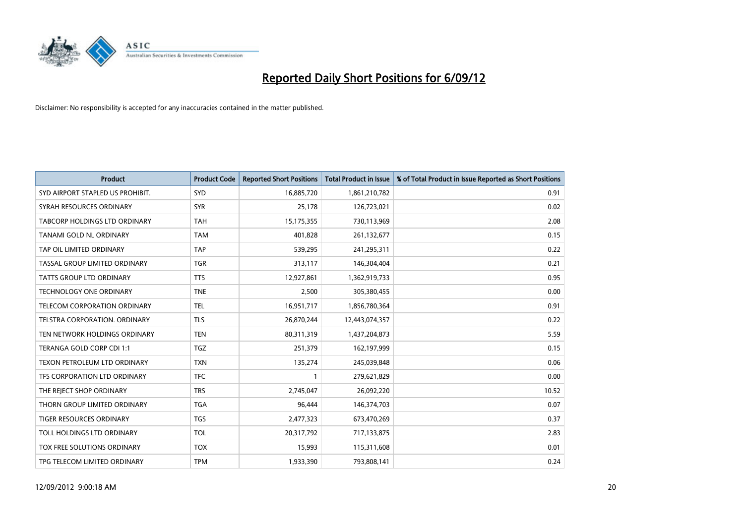

| <b>Product</b>                       | <b>Product Code</b> | <b>Reported Short Positions</b> | <b>Total Product in Issue</b> | % of Total Product in Issue Reported as Short Positions |
|--------------------------------------|---------------------|---------------------------------|-------------------------------|---------------------------------------------------------|
| SYD AIRPORT STAPLED US PROHIBIT.     | <b>SYD</b>          | 16,885,720                      | 1,861,210,782                 | 0.91                                                    |
| SYRAH RESOURCES ORDINARY             | <b>SYR</b>          | 25,178                          | 126,723,021                   | 0.02                                                    |
| TABCORP HOLDINGS LTD ORDINARY        | <b>TAH</b>          | 15,175,355                      | 730,113,969                   | 2.08                                                    |
| TANAMI GOLD NL ORDINARY              | <b>TAM</b>          | 401,828                         | 261,132,677                   | 0.15                                                    |
| TAP OIL LIMITED ORDINARY             | <b>TAP</b>          | 539,295                         | 241,295,311                   | 0.22                                                    |
| TASSAL GROUP LIMITED ORDINARY        | <b>TGR</b>          | 313,117                         | 146,304,404                   | 0.21                                                    |
| TATTS GROUP LTD ORDINARY             | <b>TTS</b>          | 12,927,861                      | 1,362,919,733                 | 0.95                                                    |
| TECHNOLOGY ONE ORDINARY              | <b>TNE</b>          | 2,500                           | 305,380,455                   | 0.00                                                    |
| TELECOM CORPORATION ORDINARY         | <b>TEL</b>          | 16,951,717                      | 1,856,780,364                 | 0.91                                                    |
| <b>TELSTRA CORPORATION, ORDINARY</b> | <b>TLS</b>          | 26,870,244                      | 12,443,074,357                | 0.22                                                    |
| TEN NETWORK HOLDINGS ORDINARY        | <b>TEN</b>          | 80,311,319                      | 1,437,204,873                 | 5.59                                                    |
| TERANGA GOLD CORP CDI 1:1            | <b>TGZ</b>          | 251,379                         | 162,197,999                   | 0.15                                                    |
| TEXON PETROLEUM LTD ORDINARY         | <b>TXN</b>          | 135,274                         | 245,039,848                   | 0.06                                                    |
| TFS CORPORATION LTD ORDINARY         | <b>TFC</b>          |                                 | 279,621,829                   | 0.00                                                    |
| THE REJECT SHOP ORDINARY             | <b>TRS</b>          | 2,745,047                       | 26,092,220                    | 10.52                                                   |
| THORN GROUP LIMITED ORDINARY         | <b>TGA</b>          | 96,444                          | 146,374,703                   | 0.07                                                    |
| TIGER RESOURCES ORDINARY             | <b>TGS</b>          | 2,477,323                       | 673,470,269                   | 0.37                                                    |
| TOLL HOLDINGS LTD ORDINARY           | <b>TOL</b>          | 20,317,792                      | 717,133,875                   | 2.83                                                    |
| TOX FREE SOLUTIONS ORDINARY          | <b>TOX</b>          | 15,993                          | 115,311,608                   | 0.01                                                    |
| TPG TELECOM LIMITED ORDINARY         | <b>TPM</b>          | 1,933,390                       | 793,808,141                   | 0.24                                                    |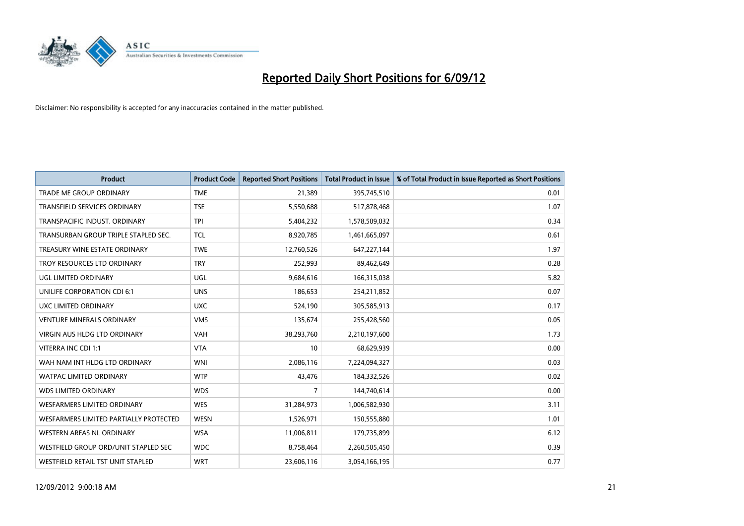

| <b>Product</b>                         | <b>Product Code</b> | <b>Reported Short Positions</b> | <b>Total Product in Issue</b> | % of Total Product in Issue Reported as Short Positions |
|----------------------------------------|---------------------|---------------------------------|-------------------------------|---------------------------------------------------------|
| <b>TRADE ME GROUP ORDINARY</b>         | <b>TME</b>          | 21,389                          | 395,745,510                   | 0.01                                                    |
| TRANSFIELD SERVICES ORDINARY           | <b>TSE</b>          | 5,550,688                       | 517,878,468                   | 1.07                                                    |
| TRANSPACIFIC INDUST, ORDINARY          | <b>TPI</b>          | 5,404,232                       | 1,578,509,032                 | 0.34                                                    |
| TRANSURBAN GROUP TRIPLE STAPLED SEC.   | <b>TCL</b>          | 8,920,785                       | 1,461,665,097                 | 0.61                                                    |
| TREASURY WINE ESTATE ORDINARY          | <b>TWE</b>          | 12,760,526                      | 647,227,144                   | 1.97                                                    |
| TROY RESOURCES LTD ORDINARY            | <b>TRY</b>          | 252,993                         | 89,462,649                    | 0.28                                                    |
| UGL LIMITED ORDINARY                   | UGL                 | 9,684,616                       | 166,315,038                   | 5.82                                                    |
| UNILIFE CORPORATION CDI 6:1            | <b>UNS</b>          | 186,653                         | 254,211,852                   | 0.07                                                    |
| UXC LIMITED ORDINARY                   | <b>UXC</b>          | 524,190                         | 305,585,913                   | 0.17                                                    |
| <b>VENTURE MINERALS ORDINARY</b>       | <b>VMS</b>          | 135,674                         | 255,428,560                   | 0.05                                                    |
| VIRGIN AUS HLDG LTD ORDINARY           | <b>VAH</b>          | 38,293,760                      | 2,210,197,600                 | 1.73                                                    |
| VITERRA INC CDI 1:1                    | <b>VTA</b>          | 10                              | 68,629,939                    | 0.00                                                    |
| WAH NAM INT HLDG LTD ORDINARY          | <b>WNI</b>          | 2,086,116                       | 7,224,094,327                 | 0.03                                                    |
| <b>WATPAC LIMITED ORDINARY</b>         | <b>WTP</b>          | 43,476                          | 184,332,526                   | 0.02                                                    |
| <b>WDS LIMITED ORDINARY</b>            | <b>WDS</b>          | 7                               | 144,740,614                   | 0.00                                                    |
| WESFARMERS LIMITED ORDINARY            | <b>WES</b>          | 31,284,973                      | 1,006,582,930                 | 3.11                                                    |
| WESFARMERS LIMITED PARTIALLY PROTECTED | <b>WESN</b>         | 1,526,971                       | 150,555,880                   | 1.01                                                    |
| WESTERN AREAS NL ORDINARY              | <b>WSA</b>          | 11,006,811                      | 179,735,899                   | 6.12                                                    |
| WESTFIELD GROUP ORD/UNIT STAPLED SEC   | <b>WDC</b>          | 8,758,464                       | 2,260,505,450                 | 0.39                                                    |
| WESTFIELD RETAIL TST UNIT STAPLED      | <b>WRT</b>          | 23,606,116                      | 3,054,166,195                 | 0.77                                                    |